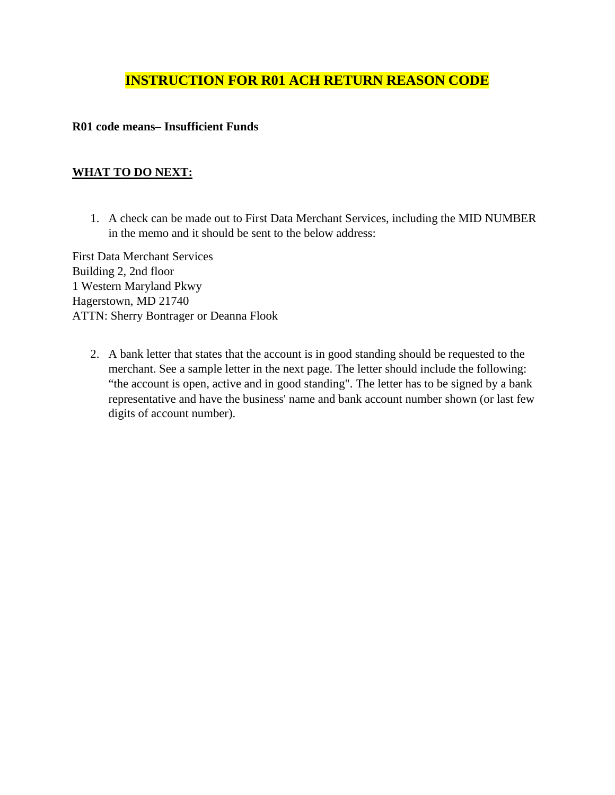## **INSTRUCTION FOR R01 ACH RETURN REASON CODE**

## **R01 code means– Insufficient Funds**

## **WHAT TO DO NEXT:**

1. A check can be made out to First Data Merchant Services, including the MID NUMBER in the memo and it should be sent to the below address:

First Data Merchant Services Building 2, 2nd floor 1 Western Maryland Pkwy Hagerstown, MD 21740 ATTN: Sherry Bontrager or Deanna Flook

2. A bank letter that states that the account is in good standing should be requested to the merchant. See a sample letter in the next page. The letter should include the following: "the account is open, active and in good standing". The letter has to be signed by a bank representative and have the business' name and bank account number shown (or last few digits of account number).